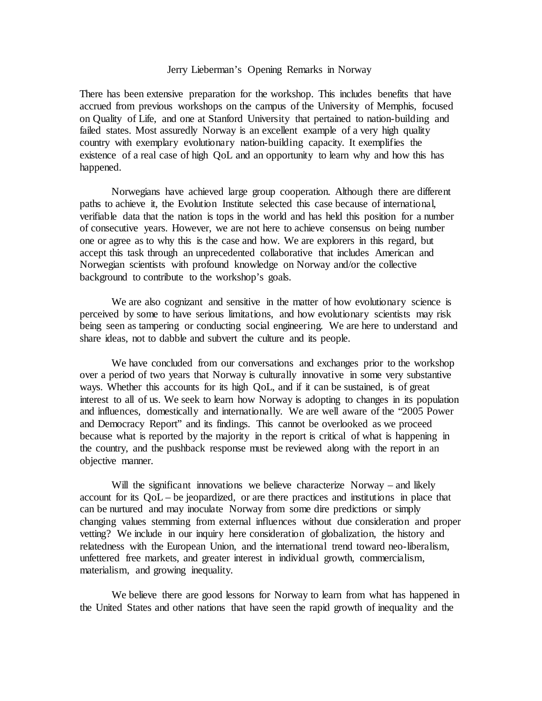## Jerry Lieberman's Opening Remarks in Norway

There has been extensive preparation for the workshop. This includes benefits that have accrued from previous workshops on the campus of the University of Memphis, focused on Quality of Life, and one at Stanford University that pertained to nation-building and failed states. Most assuredly Norway is an excellent example of a very high quality country with exemplary evolutionary nation-building capacity. It exemplifies the existence of a real case of high QoL and an opportunity to learn why and how this has happened.

Norwegians have achieved large group cooperation. Although there are different paths to achieve it, the Evolution Institute selected this case because of international, verifiable data that the nation is tops in the world and has held this position for a number of consecutive years. However, we are not here to achieve consensus on being number one or agree as to why this is the case and how. We are explorers in this regard, but accept this task through an unprecedented collaborative that includes American and Norwegian scientists with profound knowledge on Norway and/or the collective background to contribute to the workshop's goals.

We are also cognizant and sensitive in the matter of how evolutionary science is perceived by some to have serious limitations, and how evolutionary scientists may risk being seen as tampering or conducting social engineering. We are here to understand and share ideas, not to dabble and subvert the culture and its people.

We have concluded from our conversations and exchanges prior to the workshop over a period of two years that Norway is culturally innovative in some very substantive ways. Whether this accounts for its high QoL, and if it can be sustained, is of great interest to all of us. We seek to learn how Norway is adopting to changes in its population and influences, domestically and internationally. We are well aware of the "2005 Power and Democracy Report" and its findings. This cannot be overlooked as we proceed because what is reported by the majority in the report is critical of what is happening in the country, and the pushback response must be reviewed along with the report in an objective manner.

Will the significant innovations we believe characterize Norway – and likely account for its QoL – be jeopardized, or are there practices and institutions in place that can be nurtured and may inoculate Norway from some dire predictions or simply changing values stemming from external influences without due consideration and proper vetting? We include in our inquiry here consideration of globalization, the history and relatedness with the European Union, and the international trend toward neo-liberalism, unfettered free markets, and greater interest in individual growth, commercialism, materialism, and growing inequality.

We believe there are good lessons for Norway to learn from what has happened in the United States and other nations that have seen the rapid growth of inequality and the